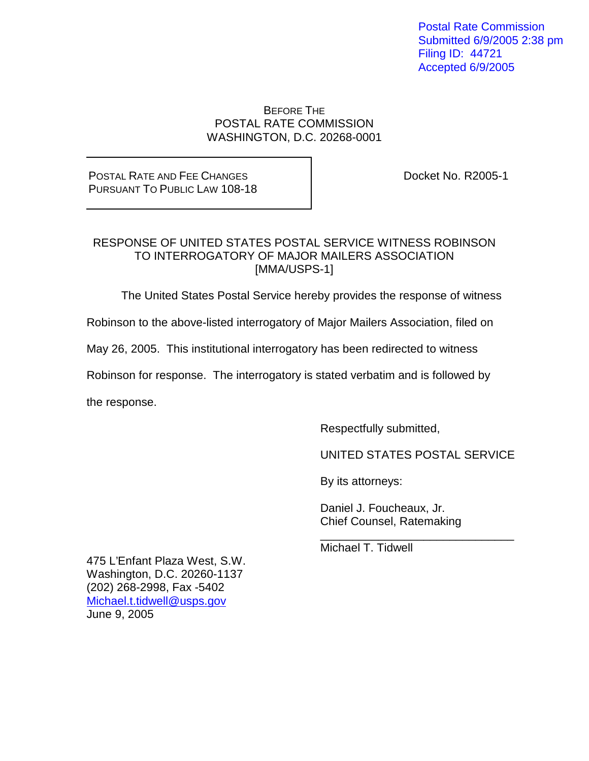Postal Rate Commission Submitted 6/9/2005 2:38 pm Filing ID: 44721 Accepted 6/9/2005

### BEFORE THE POSTAL RATE COMMISSION WASHINGTON, D.C. 20268-0001

# POSTAL RATE AND FEE CHANGES PURSUANT TO PUBLIC LAW 108-18

Docket No. R2005-1

# RESPONSE OF UNITED STATES POSTAL SERVICE WITNESS ROBINSON TO INTERROGATORY OF MAJOR MAILERS ASSOCIATION [MMA/USPS-1]

The United States Postal Service hereby provides the response of witness

Robinson to the above-listed interrogatory of Major Mailers Association, filed on

May 26, 2005. This institutional interrogatory has been redirected to witness

Robinson for response. The interrogatory is stated verbatim and is followed by

the response.

Respectfully submitted,

UNITED STATES POSTAL SERVICE

\_\_\_\_\_\_\_\_\_\_\_\_\_\_\_\_\_\_\_\_\_\_\_\_\_\_\_\_\_\_

By its attorneys:

Daniel J. Foucheaux, Jr. Chief Counsel, Ratemaking

Michael T. Tidwell

475 L'Enfant Plaza West, S.W. Washington, D.C. 20260-1137 (202) 268-2998, Fax -5402 Michael.t.tidwell@usps.gov June 9, 2005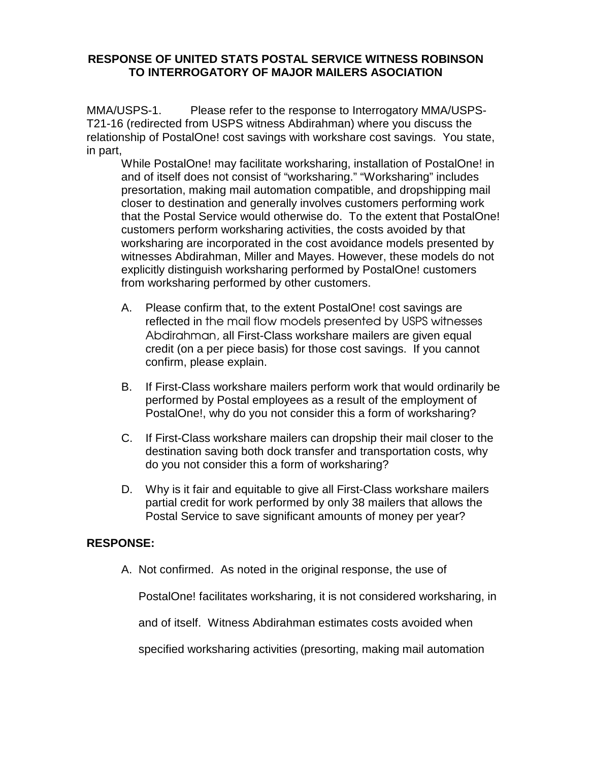MMA/USPS-1. Please refer to the response to Interrogatory MMA/USPS-T21-16 (redirected from USPS witness Abdirahman) where you discuss the relationship of PostalOne! cost savings with workshare cost savings. You state, in part,

While PostalOne! may facilitate worksharing, installation of PostalOne! in and of itself does not consist of "worksharing." "Worksharing" includes presortation, making mail automation compatible, and dropshipping mail closer to destination and generally involves customers performing work that the Postal Service would otherwise do. To the extent that PostalOne! customers perform worksharing activities, the costs avoided by that worksharing are incorporated in the cost avoidance models presented by witnesses Abdirahman, Miller and Mayes. However, these models do not explicitly distinguish worksharing performed by PostalOne! customers from worksharing performed by other customers.

- A. Please confirm that, to the extent PostalOne! cost savings are reflected in the mail flow models presented by USPS witnesses Abdirahman, all First-Class workshare mailers are given equal credit (on a per piece basis) for those cost savings. If you cannot confirm, please explain.
- B. If First-Class workshare mailers perform work that would ordinarily be performed by Postal employees as a result of the employment of PostalOne!, why do you not consider this a form of worksharing?
- C. If First-Class workshare mailers can dropship their mail closer to the destination saving both dock transfer and transportation costs, why do you not consider this a form of worksharing?
- D. Why is it fair and equitable to give all First-Class workshare mailers partial credit for work performed by only 38 mailers that allows the Postal Service to save significant amounts of money per year?

# **RESPONSE:**

A. Not confirmed. As noted in the original response, the use of

PostalOne! facilitates worksharing, it is not considered worksharing, in

and of itself. Witness Abdirahman estimates costs avoided when

specified worksharing activities (presorting, making mail automation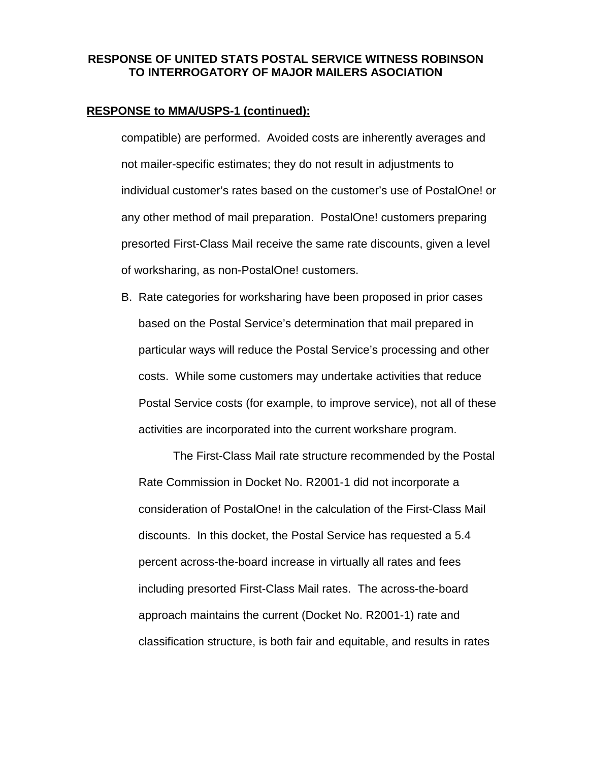#### **RESPONSE to MMA/USPS-1 (continued):**

compatible) are performed. Avoided costs are inherently averages and not mailer-specific estimates; they do not result in adjustments to individual customer's rates based on the customer's use of PostalOne! or any other method of mail preparation. PostalOne! customers preparing presorted First-Class Mail receive the same rate discounts, given a level of worksharing, as non-PostalOne! customers.

B. Rate categories for worksharing have been proposed in prior cases based on the Postal Service's determination that mail prepared in particular ways will reduce the Postal Service's processing and other costs. While some customers may undertake activities that reduce Postal Service costs (for example, to improve service), not all of these activities are incorporated into the current workshare program.

The First-Class Mail rate structure recommended by the Postal Rate Commission in Docket No. R2001-1 did not incorporate a consideration of PostalOne! in the calculation of the First-Class Mail discounts. In this docket, the Postal Service has requested a 5.4 percent across-the-board increase in virtually all rates and fees including presorted First-Class Mail rates. The across-the-board approach maintains the current (Docket No. R2001-1) rate and classification structure, is both fair and equitable, and results in rates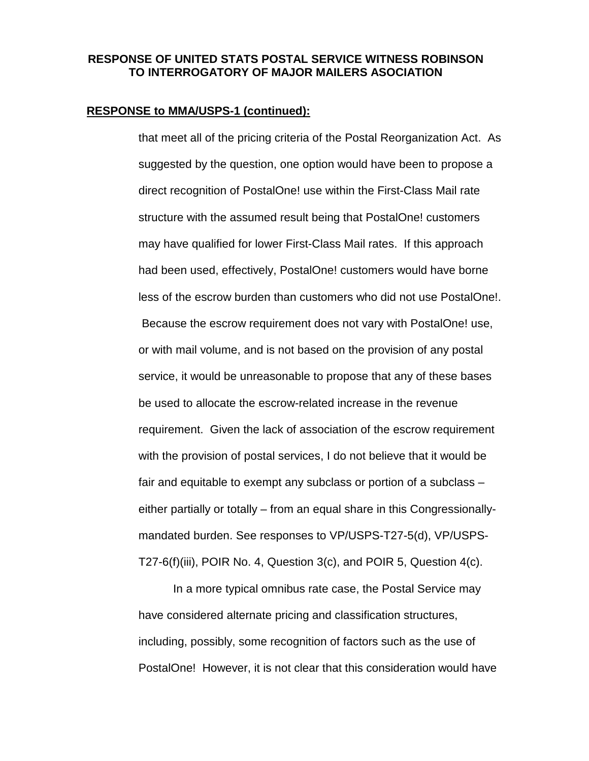#### **RESPONSE to MMA/USPS-1 (continued):**

that meet all of the pricing criteria of the Postal Reorganization Act. As suggested by the question, one option would have been to propose a direct recognition of PostalOne! use within the First-Class Mail rate structure with the assumed result being that PostalOne! customers may have qualified for lower First-Class Mail rates. If this approach had been used, effectively, PostalOne! customers would have borne less of the escrow burden than customers who did not use PostalOne!. Because the escrow requirement does not vary with PostalOne! use, or with mail volume, and is not based on the provision of any postal service, it would be unreasonable to propose that any of these bases be used to allocate the escrow-related increase in the revenue requirement. Given the lack of association of the escrow requirement with the provision of postal services, I do not believe that it would be fair and equitable to exempt any subclass or portion of a subclass – either partially or totally – from an equal share in this Congressionallymandated burden. See responses to VP/USPS-T27-5(d), VP/USPS-T27-6(f)(iii), POIR No. 4, Question 3(c), and POIR 5, Question 4(c).

In a more typical omnibus rate case, the Postal Service may have considered alternate pricing and classification structures, including, possibly, some recognition of factors such as the use of PostalOne! However, it is not clear that this consideration would have